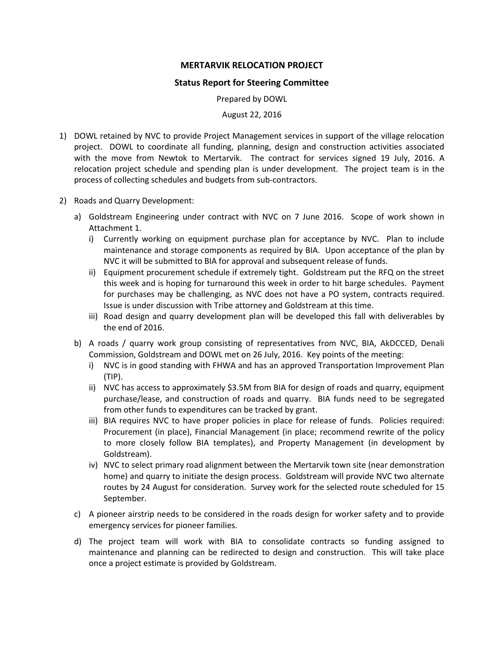## **MERTARVIK RELOCATION PROJECT**

## **Status Report for Steering Committee**

Prepared by DOWL

August 22, 2016

- 1) DOWL retained by NVC to provide Project Management services in support of the village relocation project. DOWL to coordinate all funding, planning, design and construction activities associated with the move from Newtok to Mertarvik. The contract for services signed 19 July, 2016. A relocation project schedule and spending plan is under development. The project team is in the process of collecting schedules and budgets from sub-contractors.
- 2) Roads and Quarry Development:
	- a) Goldstream Engineering under contract with NVC on 7 June 2016. Scope of work shown in Attachment 1.
		- i) Currently working on equipment purchase plan for acceptance by NVC. Plan to include maintenance and storage components as required by BIA. Upon acceptance of the plan by NVC it will be submitted to BIA for approval and subsequent release of funds.
		- ii) Equipment procurement schedule if extremely tight. Goldstream put the RFQ on the street this week and is hoping for turnaround this week in order to hit barge schedules. Payment for purchases may be challenging, as NVC does not have a PO system, contracts required. Issue is under discussion with Tribe attorney and Goldstream at this time.
		- iii) Road design and quarry development plan will be developed this fall with deliverables by the end of 2016.
	- b) A roads / quarry work group consisting of representatives from NVC, BIA, AkDCCED, Denali Commission, Goldstream and DOWL met on 26 July, 2016. Key points of the meeting:
		- i) NVC is in good standing with FHWA and has an approved Transportation Improvement Plan (TIP).
		- ii) NVC has access to approximately \$3.5M from BIA for design of roads and quarry, equipment purchase/lease, and construction of roads and quarry. BIA funds need to be segregated from other funds to expenditures can be tracked by grant.
		- iii) BIA requires NVC to have proper policies in place for release of funds. Policies required: Procurement (in place), Financial Management (in place; recommend rewrite of the policy to more closely follow BIA templates), and Property Management (in development by Goldstream).
		- iv) NVC to select primary road alignment between the Mertarvik town site (near demonstration home) and quarry to initiate the design process. Goldstream will provide NVC two alternate routes by 24 August for consideration. Survey work for the selected route scheduled for 15 September.
	- c) A pioneer airstrip needs to be considered in the roads design for worker safety and to provide emergency services for pioneer families.
	- d) The project team will work with BIA to consolidate contracts so funding assigned to maintenance and planning can be redirected to design and construction. This will take place once a project estimate is provided by Goldstream.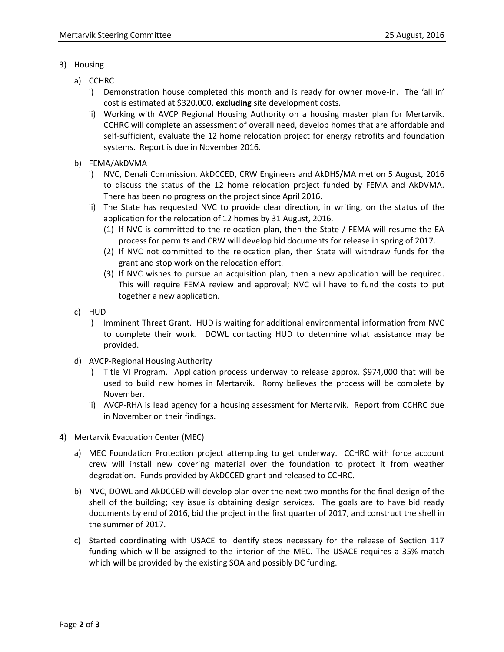- 3) Housing
	- a) CCHRC
		- i) Demonstration house completed this month and is ready for owner move-in. The 'all in' cost is estimated at \$320,000, **excluding** site development costs.
		- ii) Working with AVCP Regional Housing Authority on a housing master plan for Mertarvik. CCHRC will complete an assessment of overall need, develop homes that are affordable and self-sufficient, evaluate the 12 home relocation project for energy retrofits and foundation systems. Report is due in November 2016.
	- b) FEMA/AkDVMA
		- i) NVC, Denali Commission, AkDCCED, CRW Engineers and AkDHS/MA met on 5 August, 2016 to discuss the status of the 12 home relocation project funded by FEMA and AkDVMA. There has been no progress on the project since April 2016.
		- ii) The State has requested NVC to provide clear direction, in writing, on the status of the application for the relocation of 12 homes by 31 August, 2016.
			- (1) If NVC is committed to the relocation plan, then the State / FEMA will resume the EA process for permits and CRW will develop bid documents for release in spring of 2017.
			- (2) If NVC not committed to the relocation plan, then State will withdraw funds for the grant and stop work on the relocation effort.
			- (3) If NVC wishes to pursue an acquisition plan, then a new application will be required. This will require FEMA review and approval; NVC will have to fund the costs to put together a new application.
	- c) HUD
		- i) Imminent Threat Grant. HUD is waiting for additional environmental information from NVC to complete their work. DOWL contacting HUD to determine what assistance may be provided.
	- d) AVCP-Regional Housing Authority
		- i) Title VI Program. Application process underway to release approx. \$974,000 that will be used to build new homes in Mertarvik. Romy believes the process will be complete by November.
		- ii) AVCP-RHA is lead agency for a housing assessment for Mertarvik. Report from CCHRC due in November on their findings.
- 4) Mertarvik Evacuation Center (MEC)
	- a) MEC Foundation Protection project attempting to get underway. CCHRC with force account crew will install new covering material over the foundation to protect it from weather degradation. Funds provided by AkDCCED grant and released to CCHRC.
	- b) NVC, DOWL and AkDCCED will develop plan over the next two months for the final design of the shell of the building; key issue is obtaining design services. The goals are to have bid ready documents by end of 2016, bid the project in the first quarter of 2017, and construct the shell in the summer of 2017.
	- c) Started coordinating with USACE to identify steps necessary for the release of Section 117 funding which will be assigned to the interior of the MEC. The USACE requires a 35% match which will be provided by the existing SOA and possibly DC funding.